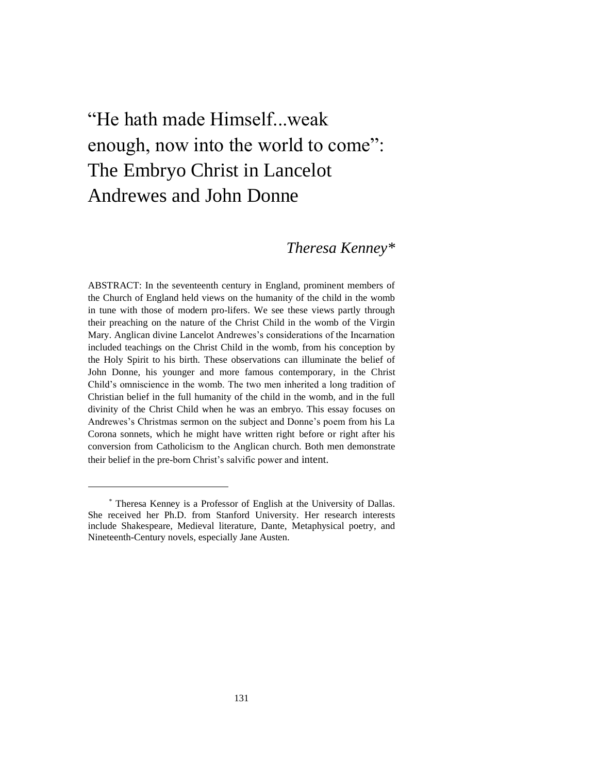# "He hath made Himself...weak enough, now into the world to come": The Embryo Christ in Lancelot Andrewes and John Donne

## *Theresa Kenney\**

ABSTRACT: In the seventeenth century in England, prominent members of the Church of England held views on the humanity of the child in the womb in tune with those of modern pro-lifers. We see these views partly through their preaching on the nature of the Christ Child in the womb of the Virgin Mary. Anglican divine Lancelot Andrewes's considerations of the Incarnation included teachings on the Christ Child in the womb, from his conception by the Holy Spirit to his birth. These observations can illuminate the belief of John Donne, his younger and more famous contemporary, in the Christ Child's omniscience in the womb. The two men inherited a long tradition of Christian belief in the full humanity of the child in the womb, and in the full divinity of the Christ Child when he was an embryo. This essay focuses on Andrewes's Christmas sermon on the subject and Donne's poem from his La Corona sonnets, which he might have written right before or right after his conversion from Catholicism to the Anglican church. Both men demonstrate their belief in the pre-born Christ's salvific power and intent.

<sup>\*</sup> Theresa Kenney is a Professor of English at the University of Dallas. She received her Ph.D. from Stanford University. Her research interests include Shakespeare, Medieval literature, Dante, Metaphysical poetry, and Nineteenth-Century novels, especially Jane Austen.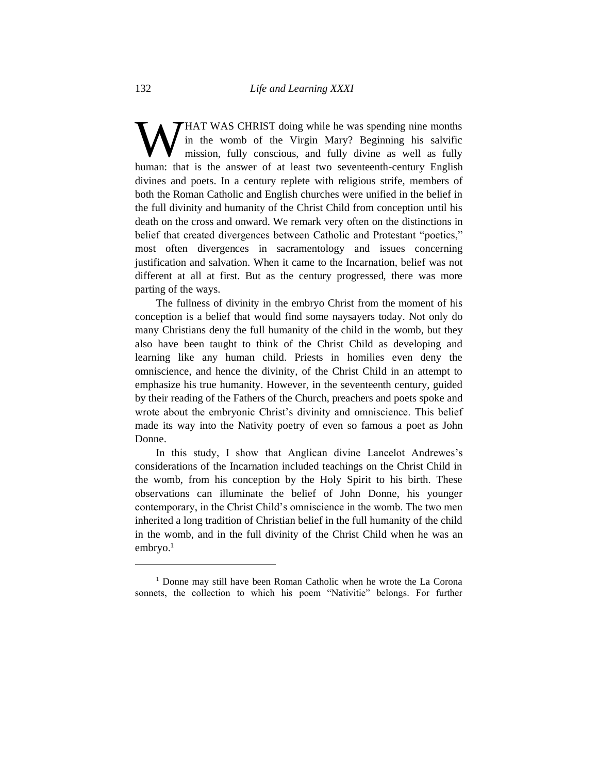HAT WAS CHRIST doing while he was spending nine months in the womb of the Virgin Mary? Beginning his salvific mission, fully conscious, and fully divine as well as fully **WHAT WAS CHRIST** doing while he was spending nine months in the womb of the Virgin Mary? Beginning his salvific mission, fully conscious, and fully divine as well as fully human: that is the answer of at least two sevente divines and poets. In a century replete with religious strife, members of both the Roman Catholic and English churches were unified in the belief in the full divinity and humanity of the Christ Child from conception until his death on the cross and onward. We remark very often on the distinctions in belief that created divergences between Catholic and Protestant "poetics," most often divergences in sacramentology and issues concerning justification and salvation. When it came to the Incarnation, belief was not different at all at first. But as the century progressed, there was more parting of the ways.

The fullness of divinity in the embryo Christ from the moment of his conception is a belief that would find some naysayers today. Not only do many Christians deny the full humanity of the child in the womb, but they also have been taught to think of the Christ Child as developing and learning like any human child. Priests in homilies even deny the omniscience, and hence the divinity, of the Christ Child in an attempt to emphasize his true humanity. However, in the seventeenth century, guided by their reading of the Fathers of the Church, preachers and poets spoke and wrote about the embryonic Christ's divinity and omniscience. This belief made its way into the Nativity poetry of even so famous a poet as John Donne.

In this study, I show that Anglican divine Lancelot Andrewes's considerations of the Incarnation included teachings on the Christ Child in the womb, from his conception by the Holy Spirit to his birth. These observations can illuminate the belief of John Donne, his younger contemporary, in the Christ Child's omniscience in the womb. The two men inherited a long tradition of Christian belief in the full humanity of the child in the womb, and in the full divinity of the Christ Child when he was an  $embryo.<sup>1</sup>$ 

<sup>1</sup> Donne may still have been Roman Catholic when he wrote the La Corona sonnets, the collection to which his poem "Nativitie" belongs. For further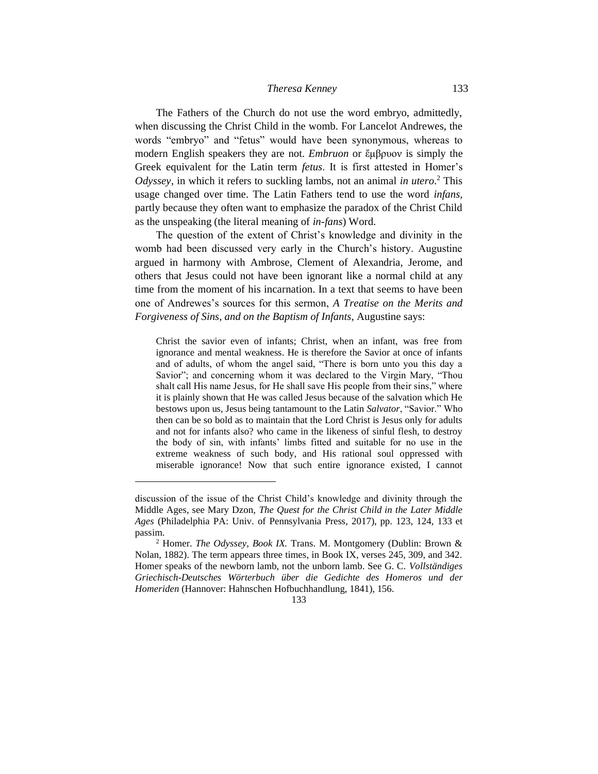### *Theresa Kenney* 133

The Fathers of the Church do not use the word embryo, admittedly, when discussing the Christ Child in the womb. For Lancelot Andrewes, the words "embryo" and "fetus" would have been synonymous, whereas to modern English speakers they are not. *Embruon* or ἔμβρυον is simply the Greek equivalent for the Latin term *fetus*. It is first attested in Homer's *Odyssey*, in which it refers to suckling lambs, not an animal *in utero*. <sup>2</sup> This usage changed over time. The Latin Fathers tend to use the word *infans*, partly because they often want to emphasize the paradox of the Christ Child as the unspeaking (the literal meaning of *in-fans*) Word.

The question of the extent of Christ's knowledge and divinity in the womb had been discussed very early in the Church's history. Augustine argued in harmony with Ambrose, Clement of Alexandria, Jerome, and others that Jesus could not have been ignorant like a normal child at any time from the moment of his incarnation. In a text that seems to have been one of Andrewes's sources for this sermon, *A Treatise on the Merits and Forgiveness of Sins, and on the Baptism of Infants*, Augustine says:

Christ the savior even of infants; Christ, when an infant, was free from ignorance and mental weakness. He is therefore the Savior at once of infants and of adults, of whom the angel said, "There is born unto you this day a Savior"; and concerning whom it was declared to the Virgin Mary, "Thou shalt call His name Jesus, for He shall save His people from their sins," where it is plainly shown that He was called Jesus because of the salvation which He bestows upon us, Jesus being tantamount to the Latin *Salvator*, "Savior." Who then can be so bold as to maintain that the Lord Christ is Jesus only for adults and not for infants also? who came in the likeness of sinful flesh, to destroy the body of sin, with infants' limbs fitted and suitable for no use in the extreme weakness of such body, and His rational soul oppressed with miserable ignorance! Now that such entire ignorance existed, I cannot

discussion of the issue of the Christ Child's knowledge and divinity through the Middle Ages, see Mary Dzon, *The Quest for the Christ Child in the Later Middle Ages* (Philadelphia PA: Univ. of Pennsylvania Press, 2017), pp. 123, 124, 133 et passim.

<sup>2</sup> Homer. *The Odyssey*, *Book IX.* Trans. M. Montgomery (Dublin: Brown & Nolan, 1882). The term appears three times, in Book IX, verses 245, 309, and 342. Homer speaks of the newborn lamb, not the unborn lamb. See G. C. *Vollständiges Griechisch-Deutsches Wörterbuch über die Gedichte des Homeros und der Homeriden* (Hannover: Hahnschen Hofbuchhandlung, 1841), 156.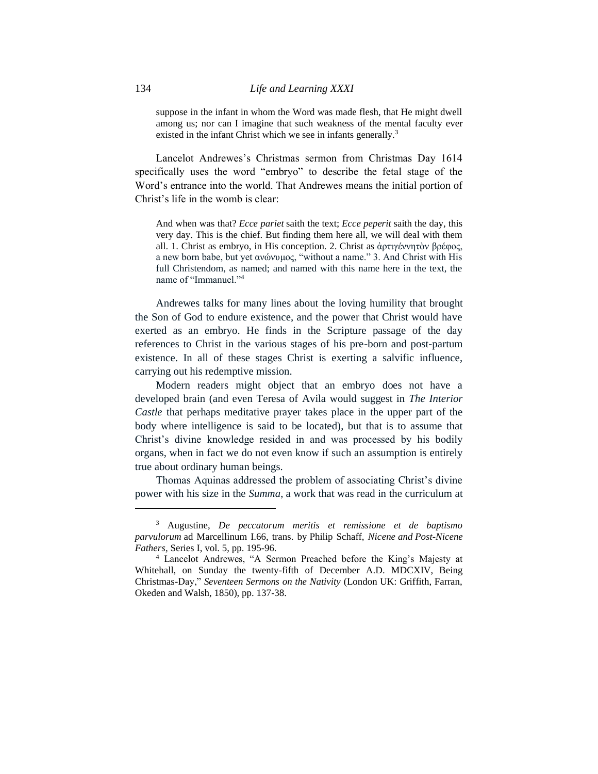suppose in the infant in whom the Word was made flesh, that He might dwell among us; nor can I imagine that such weakness of the mental faculty ever existed in the infant Christ which we see in infants generally.<sup>3</sup>

Lancelot Andrewes's Christmas sermon from Christmas Day 1614 specifically uses the word "embryo" to describe the fetal stage of the Word's entrance into the world. That Andrewes means the initial portion of Christ's life in the womb is clear:

And when was that? *Ecce pariet* saith the text; *Ecce peperit* saith the day, this very day. This is the chief. But finding them here all, we will deal with them all. 1. Christ as embryo, in His conception. 2. Christ as ἀρτιγέννητὸν βρέφος, a new born babe, but yet ανώνυμος, "without a name." 3. And Christ with His full Christendom, as named; and named with this name here in the text, the name of "Immanuel."<sup>4</sup>

Andrewes talks for many lines about the loving humility that brought the Son of God to endure existence, and the power that Christ would have exerted as an embryo. He finds in the Scripture passage of the day references to Christ in the various stages of his pre-born and post-partum existence. In all of these stages Christ is exerting a salvific influence, carrying out his redemptive mission.

Modern readers might object that an embryo does not have a developed brain (and even Teresa of Avila would suggest in *The Interior Castle* that perhaps meditative prayer takes place in the upper part of the body where intelligence is said to be located), but that is to assume that Christ's divine knowledge resided in and was processed by his bodily organs, when in fact we do not even know if such an assumption is entirely true about ordinary human beings.

Thomas Aquinas addressed the problem of associating Christ's divine power with his size in the *Summa*, a work that was read in the curriculum at

<sup>3</sup> Augustine, *De peccatorum meritis et remissione et de baptismo parvulorum* ad Marcellinum I.66, trans. by Philip Schaff, *Nicene and Post-Nicene Fathers*, Series I, vol. 5, pp. 195-96.

<sup>4</sup> Lancelot Andrewes, "A Sermon Preached before the King's Majesty at Whitehall, on Sunday the twenty-fifth of December A.D. MDCXIV, Being Christmas-Day," *Seventeen Sermons on the Nativity* (London UK: Griffith, Farran, Okeden and Walsh, 1850), pp. 137-38.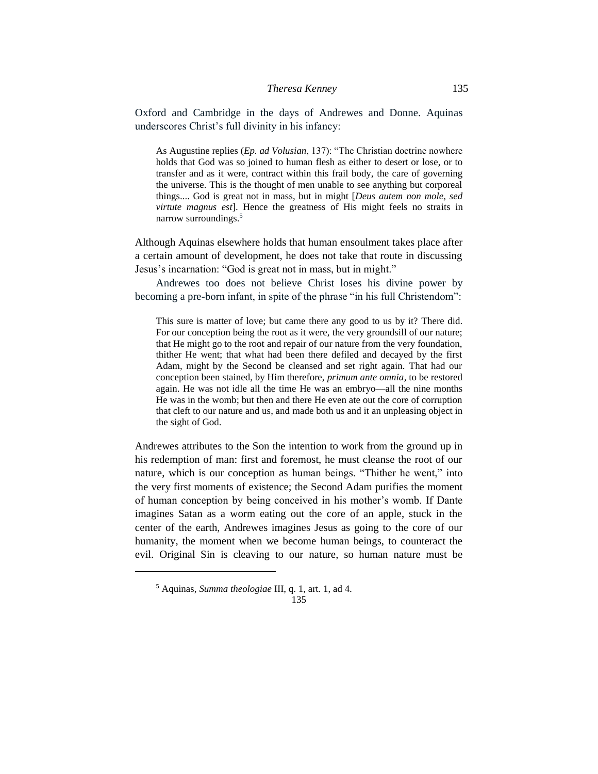Oxford and Cambridge in the days of Andrewes and Donne. Aquinas underscores Christ's full divinity in his infancy:

As Augustine replies (*Ep. ad Volusian*, 137): "The Christian doctrine nowhere holds that God was so joined to human flesh as either to desert or lose, or to transfer and as it were, contract within this frail body, the care of governing the universe. This is the thought of men unable to see anything but corporeal things.... God is great not in mass, but in might [*Deus autem non mole, sed virtute magnus est*]. Hence the greatness of His might feels no straits in narrow surroundings.<sup>5</sup>

Although Aquinas elsewhere holds that human ensoulment takes place after a certain amount of development, he does not take that route in discussing Jesus's incarnation: "God is great not in mass, but in might."

Andrewes too does not believe Christ loses his divine power by becoming a pre-born infant, in spite of the phrase "in his full Christendom":

This sure is matter of love; but came there any good to us by it? There did. For our conception being the root as it were, the very groundsill of our nature; that He might go to the root and repair of our nature from the very foundation, thither He went; that what had been there defiled and decayed by the first Adam, might by the Second be cleansed and set right again. That had our conception been stained, by Him therefore, *primum ante omnia,* to be restored again. He was not idle all the time He was an embryo—all the nine months He was in the womb; but then and there He even ate out the core of corruption that cleft to our nature and us, and made both us and it an unpleasing object in the sight of God.

Andrewes attributes to the Son the intention to work from the ground up in his redemption of man: first and foremost, he must cleanse the root of our nature, which is our conception as human beings. "Thither he went," into the very first moments of existence; the Second Adam purifies the moment of human conception by being conceived in his mother's womb. If Dante imagines Satan as a worm eating out the core of an apple, stuck in the center of the earth, Andrewes imagines Jesus as going to the core of our humanity, the moment when we become human beings, to counteract the evil. Original Sin is cleaving to our nature, so human nature must be

#### 135

<sup>5</sup> Aquinas, *Summa theologiae* III, q. 1, art. 1, ad 4.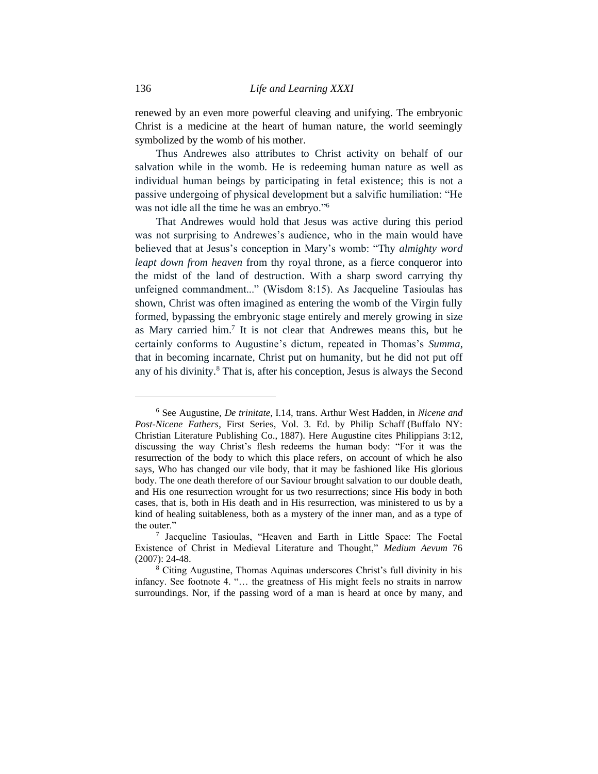renewed by an even more powerful cleaving and unifying. The embryonic Christ is a medicine at the heart of human nature, the world seemingly symbolized by the womb of his mother.

Thus Andrewes also attributes to Christ activity on behalf of our salvation while in the womb. He is redeeming human nature as well as individual human beings by participating in fetal existence; this is not a passive undergoing of physical development but a salvific humiliation: "He was not idle all the time he was an embryo."<sup>6</sup>

That Andrewes would hold that Jesus was active during this period was not surprising to Andrewes's audience, who in the main would have believed that at Jesus's conception in Mary's womb: "Thy *almighty word leapt down from heaven* from thy royal throne, as a fierce conqueror into the midst of the land of destruction. With a sharp sword carrying thy unfeigned commandment..." (Wisdom 8:15). As Jacqueline Tasioulas has shown, Christ was often imagined as entering the womb of the Virgin fully formed, bypassing the embryonic stage entirely and merely growing in size as Mary carried him.<sup>7</sup> It is not clear that Andrewes means this, but he certainly conforms to Augustine's dictum, repeated in Thomas's *Summa*, that in becoming incarnate, Christ put on humanity, but he did not put off any of his divinity.<sup>8</sup> That is, after his conception, Jesus is always the Second

<sup>6</sup> See Augustine, *De trinitate,* I.14, trans. Arthur West Hadden, in *Nicene and Post-Nicene Fathers*, First Series, Vol. 3. Ed. by Philip Schaff (Buffalo NY: Christian Literature Publishing Co., 1887). Here Augustine cites Philippians 3:12, discussing the way Christ's flesh redeems the human body: "For it was the resurrection of the body to which this place refers, on account of which he also says, Who has changed our vile body, that it may be fashioned like His glorious body. The one death therefore of our Saviour brought salvation to our double death, and His one resurrection wrought for us two resurrections; since His body in both cases, that is, both in His death and in His resurrection, was ministered to us by a kind of healing suitableness, both as a mystery of the inner man, and as a type of the outer."

<sup>7</sup> Jacqueline Tasioulas, "Heaven and Earth in Little Space: The Foetal Existence of Christ in Medieval Literature and Thought," *Medium Aevum* 76 (2007): 24-48.

<sup>8</sup> Citing Augustine, Thomas Aquinas underscores Christ's full divinity in his infancy. See footnote 4. "… the greatness of His might feels no straits in narrow surroundings. Nor, if the passing word of a man is heard at once by many, and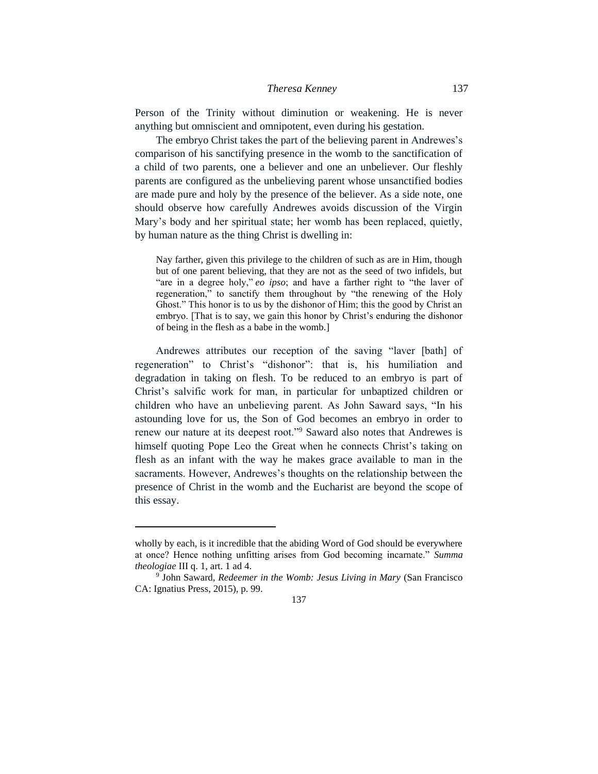#### *Theresa Kenney* 137

Person of the Trinity without diminution or weakening. He is never anything but omniscient and omnipotent, even during his gestation.

The embryo Christ takes the part of the believing parent in Andrewes's comparison of his sanctifying presence in the womb to the sanctification of a child of two parents, one a believer and one an unbeliever. Our fleshly parents are configured as the unbelieving parent whose unsanctified bodies are made pure and holy by the presence of the believer. As a side note, one should observe how carefully Andrewes avoids discussion of the Virgin Mary's body and her spiritual state; her womb has been replaced, quietly, by human nature as the thing Christ is dwelling in:

Nay farther, given this privilege to the children of such as are in Him, though but of one parent believing, that they are not as the seed of two infidels, but "are in a degree holy," *eo ipso*; and have a farther right to "the laver of regeneration," to sanctify them throughout by "the renewing of the Holy Ghost." This honor is to us by the dishonor of Him; this the good by Christ an embryo. [That is to say, we gain this honor by Christ's enduring the dishonor of being in the flesh as a babe in the womb.]

Andrewes attributes our reception of the saving "laver [bath] of regeneration" to Christ's "dishonor": that is, his humiliation and degradation in taking on flesh. To be reduced to an embryo is part of Christ's salvific work for man, in particular for unbaptized children or children who have an unbelieving parent. As John Saward says, "In his astounding love for us, the Son of God becomes an embryo in order to renew our nature at its deepest root."<sup>9</sup> Saward also notes that Andrewes is himself quoting Pope Leo the Great when he connects Christ's taking on flesh as an infant with the way he makes grace available to man in the sacraments. However, Andrewes's thoughts on the relationship between the presence of Christ in the womb and the Eucharist are beyond the scope of this essay.

wholly by each, is it incredible that the abiding Word of God should be everywhere at once? Hence nothing unfitting arises from God becoming incarnate." *Summa theologiae* III q. 1, art. 1 ad 4.

<sup>9</sup> John Saward, *Redeemer in the Womb: Jesus Living in Mary* (San Francisco CA: Ignatius Press, 2015), p. 99.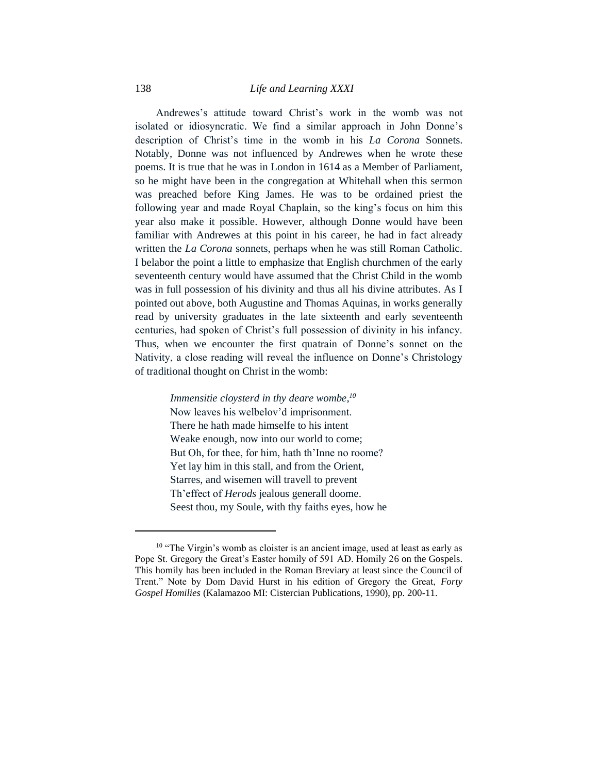Andrewes's attitude toward Christ's work in the womb was not isolated or idiosyncratic. We find a similar approach in John Donne's description of Christ's time in the womb in his *La Corona* Sonnets. Notably, Donne was not influenced by Andrewes when he wrote these poems. It is true that he was in London in 1614 as a Member of Parliament, so he might have been in the congregation at Whitehall when this sermon was preached before King James. He was to be ordained priest the following year and made Royal Chaplain, so the king's focus on him this year also make it possible. However, although Donne would have been familiar with Andrewes at this point in his career, he had in fact already written the *La Corona* sonnets, perhaps when he was still Roman Catholic. I belabor the point a little to emphasize that English churchmen of the early seventeenth century would have assumed that the Christ Child in the womb was in full possession of his divinity and thus all his divine attributes. As I pointed out above, both Augustine and Thomas Aquinas, in works generally read by university graduates in the late sixteenth and early seventeenth centuries, had spoken of Christ's full possession of divinity in his infancy. Thus, when we encounter the first quatrain of Donne's sonnet on the Nativity, a close reading will reveal the influence on Donne's Christology of traditional thought on Christ in the womb:

> *Immensitie cloysterd in thy deare wombe, 10* Now leaves his welbelov'd imprisonment. There he hath made himselfe to his intent Weake enough, now into our world to come; But Oh, for thee, for him, hath th'Inne no roome? Yet lay him in this stall, and from the Orient, Starres, and wisemen will travell to prevent Th'effect of *Herods* jealous generall doome. Seest thou, my Soule, with thy faiths eyes, how he

<sup>&</sup>lt;sup>10</sup> "The Virgin's womb as cloister is an ancient image, used at least as early as Pope St. Gregory the Great's Easter homily of 591 AD. Homily 26 on the Gospels. This homily has been included in the Roman Breviary at least since the Council of Trent." Note by Dom David Hurst in his edition of Gregory the Great, *Forty Gospel Homilies* (Kalamazoo MI: Cistercian Publications, 1990), pp. 200-11.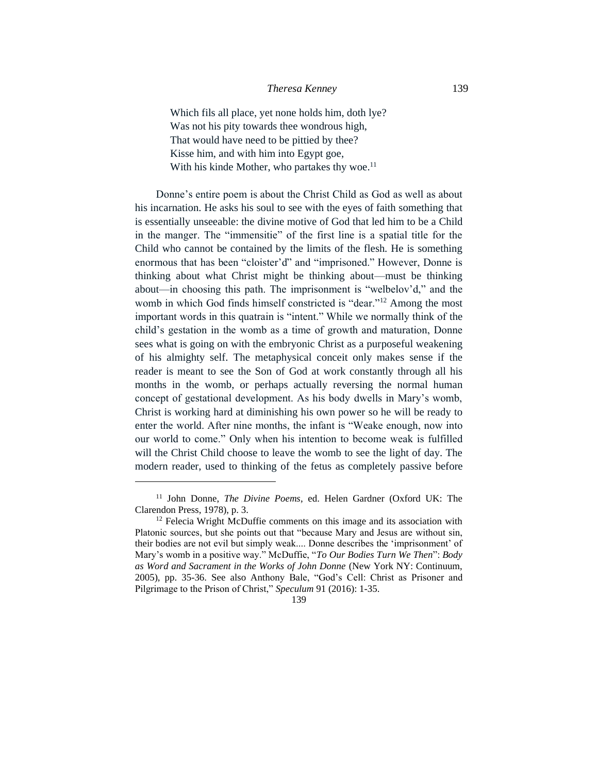Which fils all place, yet none holds him, doth lye? Was not his pity towards thee wondrous high, That would have need to be pittied by thee? Kisse him, and with him into Egypt goe, With his kinde Mother, who partakes thy woe.<sup>11</sup>

Donne's entire poem is about the Christ Child as God as well as about his incarnation. He asks his soul to see with the eyes of faith something that is essentially unseeable: the divine motive of God that led him to be a Child in the manger. The "immensitie" of the first line is a spatial title for the Child who cannot be contained by the limits of the flesh. He is something enormous that has been "cloister'd" and "imprisoned." However, Donne is thinking about what Christ might be thinking about—must be thinking about—in choosing this path. The imprisonment is "welbelov'd," and the womb in which God finds himself constricted is "dear."<sup>12</sup> Among the most important words in this quatrain is "intent." While we normally think of the child's gestation in the womb as a time of growth and maturation, Donne sees what is going on with the embryonic Christ as a purposeful weakening of his almighty self. The metaphysical conceit only makes sense if the reader is meant to see the Son of God at work constantly through all his months in the womb, or perhaps actually reversing the normal human concept of gestational development. As his body dwells in Mary's womb, Christ is working hard at diminishing his own power so he will be ready to enter the world. After nine months, the infant is "Weake enough, now into our world to come." Only when his intention to become weak is fulfilled will the Christ Child choose to leave the womb to see the light of day. The modern reader, used to thinking of the fetus as completely passive before

139

<sup>11</sup> John Donne, *The Divine Poems*, ed. Helen Gardner (Oxford UK: The Clarendon Press, 1978), p. 3.

<sup>&</sup>lt;sup>12</sup> Felecia Wright McDuffie comments on this image and its association with Platonic sources, but she points out that "because Mary and Jesus are without sin, their bodies are not evil but simply weak.... Donne describes the 'imprisonment' of Mary's womb in a positive way." McDuffie, "*To Our Bodies Turn We Then*": *Body as Word and Sacrament in the Works of John Donne* (New York NY: Continuum, 2005), pp. 35-36. See also Anthony Bale, "God's Cell: Christ as Prisoner and Pilgrimage to the Prison of Christ," *Speculum* 91 (2016): 1-35.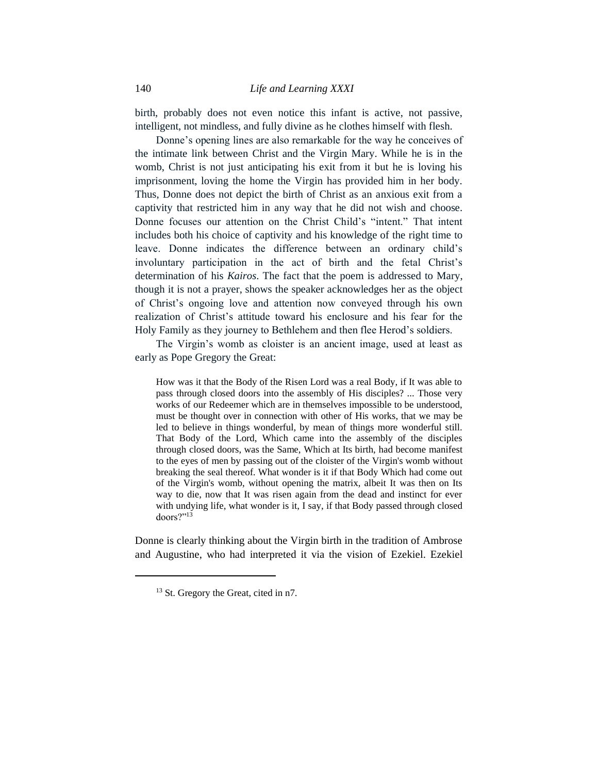birth, probably does not even notice this infant is active, not passive, intelligent, not mindless, and fully divine as he clothes himself with flesh.

Donne's opening lines are also remarkable for the way he conceives of the intimate link between Christ and the Virgin Mary. While he is in the womb, Christ is not just anticipating his exit from it but he is loving his imprisonment, loving the home the Virgin has provided him in her body. Thus, Donne does not depict the birth of Christ as an anxious exit from a captivity that restricted him in any way that he did not wish and choose. Donne focuses our attention on the Christ Child's "intent." That intent includes both his choice of captivity and his knowledge of the right time to leave. Donne indicates the difference between an ordinary child's involuntary participation in the act of birth and the fetal Christ's determination of his *Kairos*. The fact that the poem is addressed to Mary, though it is not a prayer, shows the speaker acknowledges her as the object of Christ's ongoing love and attention now conveyed through his own realization of Christ's attitude toward his enclosure and his fear for the Holy Family as they journey to Bethlehem and then flee Herod's soldiers.

The Virgin's womb as cloister is an ancient image, used at least as early as Pope Gregory the Great:

How was it that the Body of the Risen Lord was a real Body, if It was able to pass through closed doors into the assembly of His disciples? ... Those very works of our Redeemer which are in themselves impossible to be understood, must be thought over in connection with other of His works, that we may be led to believe in things wonderful, by mean of things more wonderful still. That Body of the Lord, Which came into the assembly of the disciples through closed doors, was the Same, Which at Its birth, had become manifest to the eyes of men by passing out of the cloister of the Virgin's womb without breaking the seal thereof. What wonder is it if that Body Which had come out of the Virgin's womb, without opening the matrix, albeit It was then on Its way to die, now that It was risen again from the dead and instinct for ever with undying life, what wonder is it, I say, if that Body passed through closed doors?"<sup>13</sup>

Donne is clearly thinking about the Virgin birth in the tradition of Ambrose and Augustine, who had interpreted it via the vision of Ezekiel. Ezekiel

<sup>&</sup>lt;sup>13</sup> St. Gregory the Great, cited in n7.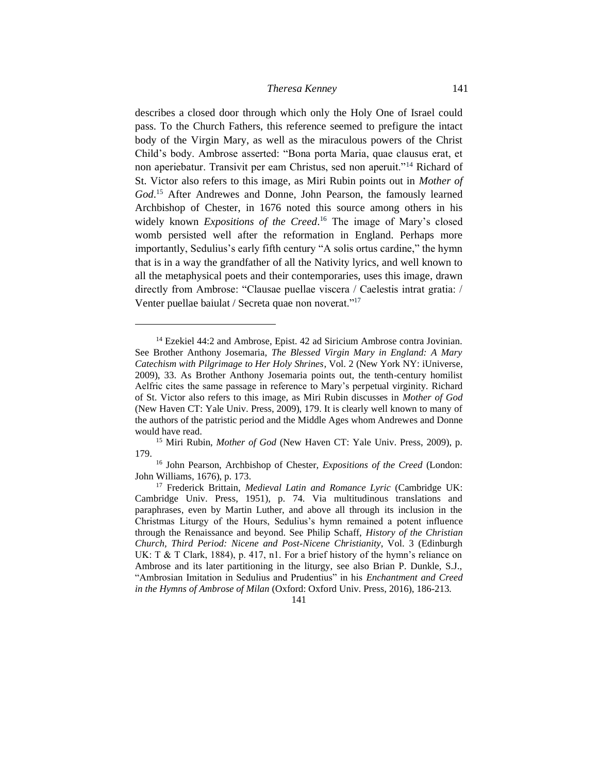describes a closed door through which only the Holy One of Israel could pass. To the Church Fathers, this reference seemed to prefigure the intact body of the Virgin Mary, as well as the miraculous powers of the Christ Child's body. Ambrose asserted: "Bona porta Maria, quae clausus erat, et non aperiebatur. Transivit per eam Christus, sed non aperuit."<sup>14</sup> Richard of St. Victor also refers to this image, as Miri Rubin points out in *Mother of God*. <sup>15</sup> After Andrewes and Donne, John Pearson, the famously learned Archbishop of Chester, in 1676 noted this source among others in his widely known *Expositions of the Creed*. <sup>16</sup> The image of Mary's closed womb persisted well after the reformation in England. Perhaps more importantly, Sedulius's early fifth century "A solis ortus cardine," the hymn that is in a way the grandfather of all the Nativity lyrics, and well known to all the metaphysical poets and their contemporaries, uses this image, drawn directly from Ambrose: "Clausae puellae viscera / Caelestis intrat gratia: / Venter puellae baiulat / Secreta quae non noverat."<sup>17</sup>

<sup>&</sup>lt;sup>14</sup> Ezekiel 44:2 and Ambrose, Epist. 42 ad Siricium Ambrose contra Jovinian. See Brother Anthony Josemaria, *The Blessed Virgin Mary in England: A Mary Catechism with Pilgrimage to Her Holy Shrines*, Vol. 2 (New York NY: iUniverse, 2009), 33. As Brother Anthony Josemaria points out, the tenth-century homilist Aelfric cites the same passage in reference to Mary's perpetual virginity. Richard of St. Victor also refers to this image, as Miri Rubin discusses in *Mother of God* (New Haven CT: Yale Univ. Press, 2009), 179. It is clearly well known to many of the authors of the patristic period and the Middle Ages whom Andrewes and Donne would have read.

<sup>&</sup>lt;sup>15</sup> Miri Rubin, *Mother of God* (New Haven CT: Yale Univ. Press, 2009), p. 179.

<sup>16</sup> John Pearson, Archbishop of Chester, *Expositions of the Creed* (London: John Williams, 1676), p. 173.

<sup>17</sup> Frederick Brittain, *Medieval Latin and Romance Lyric* (Cambridge UK: Cambridge Univ. Press, 1951), p. 74. Via multitudinous translations and paraphrases, even by Martin Luther, and above all through its inclusion in the Christmas Liturgy of the Hours, Sedulius's hymn remained a potent influence through the Renaissance and beyond. See Philip Schaff, *History of the Christian Church, Third Period: Nicene and Post-Nicene Christianity*, Vol. 3 (Edinburgh UK: T & T Clark, 1884), p. 417, n1. For a brief history of the hymn's reliance on Ambrose and its later partitioning in the liturgy, see also Brian P. Dunkle, S.J., "Ambrosian Imitation in Sedulius and Prudentius" in his *Enchantment and Creed in the Hymns of Ambrose of Milan* (Oxford: Oxford Univ. Press, 2016), 186-213*.*